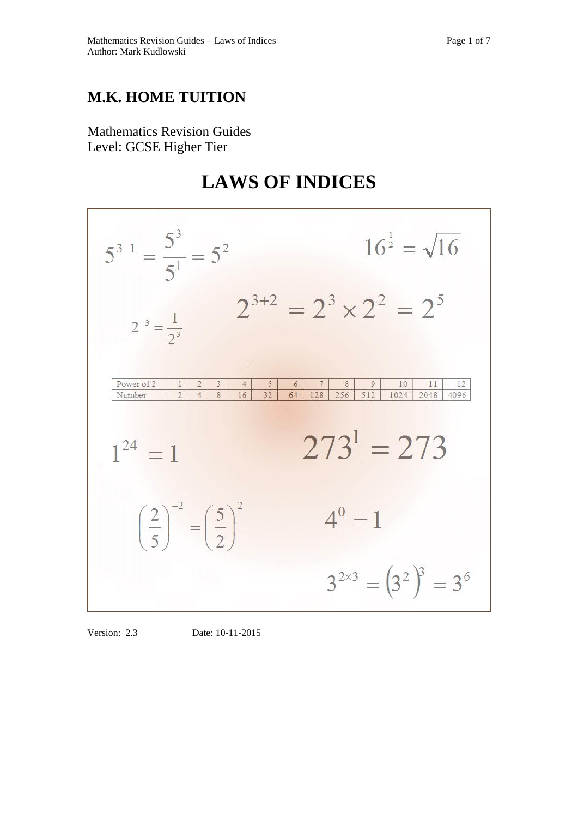## **M.K. HOME TUITION**

Mathematics Revision Guides Level: GCSE Higher Tier

# **LAWS OF INDICES**



Version: 2.3 Date: 10-11-2015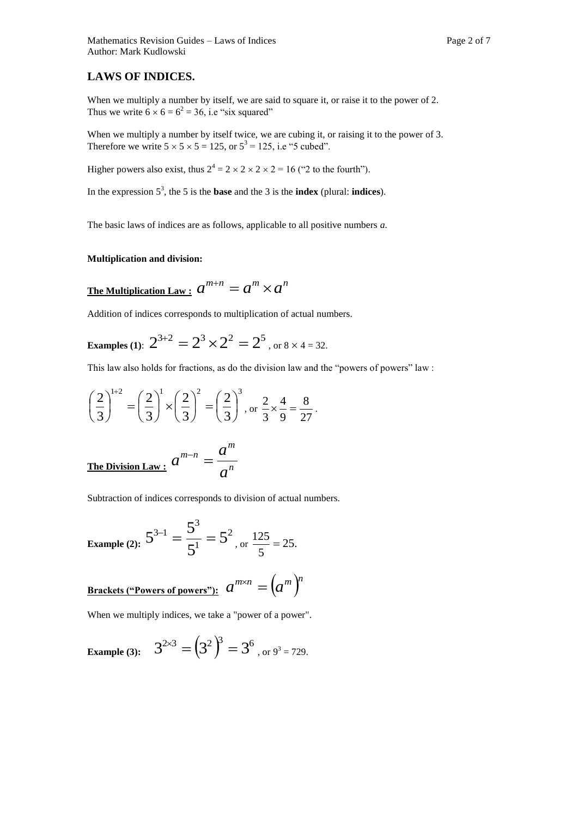### **LAWS OF INDICES.**

When we multiply a number by itself, we are said to square it, or raise it to the power of 2. Thus we write  $6 \times 6 = 6^2 = 36$ , i.e "six squared"

When we multiply a number by itself twice, we are cubing it, or raising it to the power of 3. Therefore we write  $5 \times 5 \times 5 = 125$ , or  $5^3 = 125$ , i.e "5 cubed".

Higher powers also exist, thus  $2^4 = 2 \times 2 \times 2 \times 2 = 16$  ("2 to the fourth").

In the expression 5 3 , the 5 is the **base** and the 3 is the **index** (plural: **indices**).

The basic laws of indices are as follows, applicable to all positive numbers *a.*

#### **Multiplication and division:**

The Multiplication Law: 
$$
a^{m+n} = a^m \times a^n
$$

Addition of indices corresponds to multiplication of actual numbers.

Examples (1): 
$$
2^{3+2} = 2^3 \times 2^2 = 2^5
$$
, or  $8 \times 4 = 32$ .

This law also holds for fractions, as do the division law and the "powers of powers" law :

$$
\left(\frac{2}{3}\right)^{1+2} = \left(\frac{2}{3}\right)^{1} \times \left(\frac{2}{3}\right)^{2} = \left(\frac{2}{3}\right)^{3}, \text{ or } \frac{2}{3} \times \frac{4}{9} = \frac{8}{27}.
$$

The Division Law: 
$$
a^{m-n} = \frac{a^m}{a^n}
$$

Subtraction of indices corresponds to division of actual numbers.

Example (2): 
$$
5^{3-1} = \frac{5^3}{5^1} = 5^2
$$
, or  $\frac{125}{5} = 25$ .

$$
\underline{\text{Brackets}}\, ("Powers of powers") : a^{m \times n} = (a^m)^n
$$

When we multiply indices, we take a "power of a power".

Example (3): 
$$
3^{2\times3} = (3^2)^3 = 3^6
$$
, or  $9^3 = 729$ .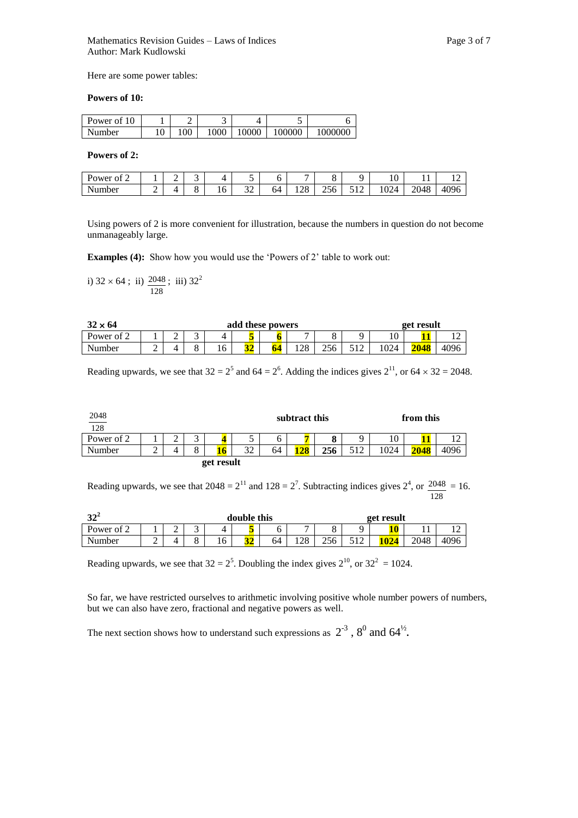Here are some power tables:

#### **Powers of 10:**

| Power of 10 |    | -    |       | ັ      |         |
|-------------|----|------|-------|--------|---------|
| Number      | 00 | 1000 | 10000 | 100000 | 1000000 |

#### **Powers of 2:**

| 'ower<br>of 2 |   | - | ັ      | ↩        | $\overline{\phantom{0}}$<br>ັ | ິ  | -         | O                         |                              | $\sim$<br>1 U                     | . .  | . .  |
|---------------|---|---|--------|----------|-------------------------------|----|-----------|---------------------------|------------------------------|-----------------------------------|------|------|
| Number        | - |   | -<br>ບ | r<br>1 V | $\sim$<br>ىرر                 | 64 | ററ<br>140 | $\sim$ $\sim$<br>-<br>256 | -<br>$\sim$<br><b>I</b><br>ັ | $\Omega$<br>١4<br>10 <sub>2</sub> | 2048 | 4096 |

Using powers of 2 is more convenient for illustration, because the numbers in question do not become unmanageably large.

**Examples (4):** Show how you would use the 'Powers of 2' table to work out:

i)  $32 \times 64$ ; ii) 128  $\frac{2048}{ }$ ; iii) 32<sup>2</sup>

| $32 \times 64$ |   |                  |        | get result |    |  |               |     |  |  |      |      |
|----------------|---|------------------|--------|------------|----|--|---------------|-----|--|--|------|------|
| Power of 2     |   | Q<br>4<br>∸<br>ັ |        |            |    |  |               |     |  |  |      |      |
| Number         | ∸ |                  | O<br>Õ | 16         | ንሪ |  | $\cap$<br>140 | つぐん |  |  | 2048 | 4096 |

Reading upwards, we see that  $32 = 2^5$  and  $64 = 2^6$ . Adding the indices gives  $2^{11}$ , or  $64 \times 32 = 2048$ .

| 2048<br>__<br>128 |   | from this<br>subtract this |               |            |    |    |     |     |     |      |      |  |
|-------------------|---|----------------------------|---------------|------------|----|----|-----|-----|-----|------|------|--|
| Power of 2        |   | $\sim$<br>∠                | ⌒<br>J        |            | ◡  | 0  |     |     | Q   | 10   |      |  |
| Number            | ∸ |                            | $\Omega$<br>Õ |            | 32 | 64 | 128 | 256 | 512 | 1024 | 2048 |  |
|                   |   |                            |               | get result |    |    |     |     |     |      |      |  |

Reading upwards, we see that  $2048 = 2^{11}$  and  $128 = 2^7$ . Subtracting indices gives  $2^4$ , or 128  $\frac{2048}{100} = 16.$ 

| 22<br>◡    |   | double this<br>get result |              |    |  |    |                |            |                                   |  |      |  |
|------------|---|---------------------------|--------------|----|--|----|----------------|------------|-----------------------------------|--|------|--|
| Power of 2 |   | ⌒<br>∠                    | ັ            |    |  | v  | $\overline{ }$ |            |                                   |  |      |  |
| Number     | ∼ | 4                         | $\circ$<br>O | 10 |  | 64 | $\cap$<br>⊥∠∪  | 256<br>∠⊃∪ | $\sim$ 1 $\sim$<br>$\overline{1}$ |  | 2048 |  |

Reading upwards, we see that  $32 = 2^5$ . Doubling the index gives  $2^{10}$ , or  $32^2 = 1024$ .

So far, we have restricted ourselves to arithmetic involving positive whole number powers of numbers, but we can also have zero, fractional and negative powers as well.

The next section shows how to understand such expressions as  $2^{-3}$ ,  $8^0$  and  $64^{\frac{1}{2}}$ .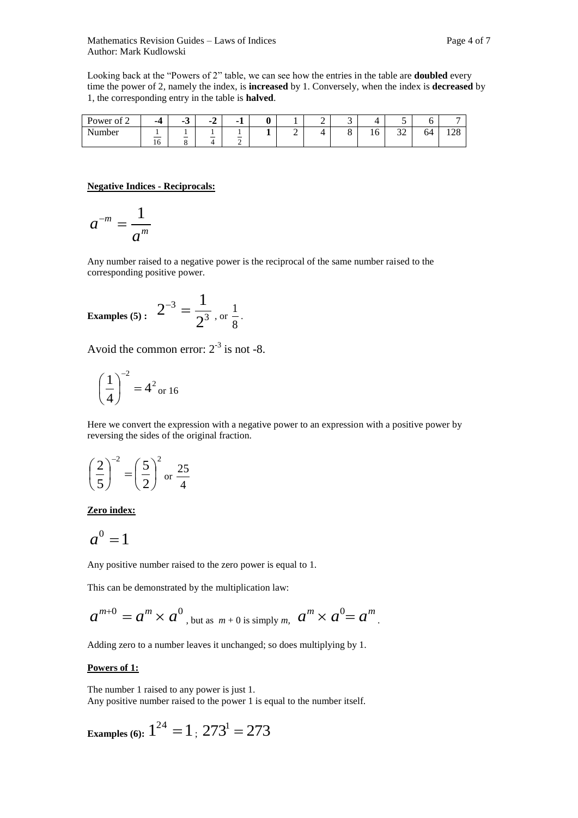Looking back at the "Powers of 2" table, we can see how the entries in the table are **doubled** every time the power of 2, namely the index, is **increased** by 1. Conversely, when the index is **decreased** by 1, the corresponding entry in the table is **halved**.

| $\sim$<br>Power of<br>∠ | -4 | $\sim$<br>- 7<br>ີ | -<br>$-L$<br>- | - 1                            | 0 |   | - | ◠<br>ັ |    | ັ                    | ◡  |             |
|-------------------------|----|--------------------|----------------|--------------------------------|---|---|---|--------|----|----------------------|----|-------------|
| <b>AT</b><br>Number     |    |                    |                | $\qquad \qquad \longleftarrow$ | - | ∸ |   | ⌒<br>O | 10 | $\mathcal{L}$<br>ىدر | 64 | 100<br>1/40 |
|                         | 16 | -<br>$\Omega$<br>o |                | ∸                              |   |   |   |        |    |                      |    |             |

#### **Negative Indices - Reciprocals:**

$$
a^{-m}=\frac{1}{a^m}
$$

Any number raised to a negative power is the reciprocal of the same number raised to the corresponding positive power.

Examples (5): 
$$
2^{-3} = \frac{1}{2^3}
$$
, or  $\frac{1}{8}$ .

Avoid the common error:  $2^{-3}$  is not -8.

$$
\left(\frac{1}{4}\right)^{-2} = 4^2
$$
 or 16

Here we convert the expression with a negative power to an expression with a positive power by reversing the sides of the original fraction.

$$
\left(\frac{2}{5}\right)^{-2} = \left(\frac{5}{2}\right)^2
$$
 or  $\frac{25}{4}$ 

**Zero index:**

$$
a^0=1
$$

Any positive number raised to the zero power is equal to 1.

This can be demonstrated by the multiplication law:

$$
a^{m+0} = a^m \times a^0
$$
, but as  $m+0$  is simply m,  $a^m \times a^0 = a^m$ .

Adding zero to a number leaves it unchanged; so does multiplying by 1.

#### **Powers of 1:**

The number 1 raised to any power is just 1. Any positive number raised to the power 1 is equal to the number itself.

**Examples** (6):  $1^{24} = 1$  ;  $273^1 = 273$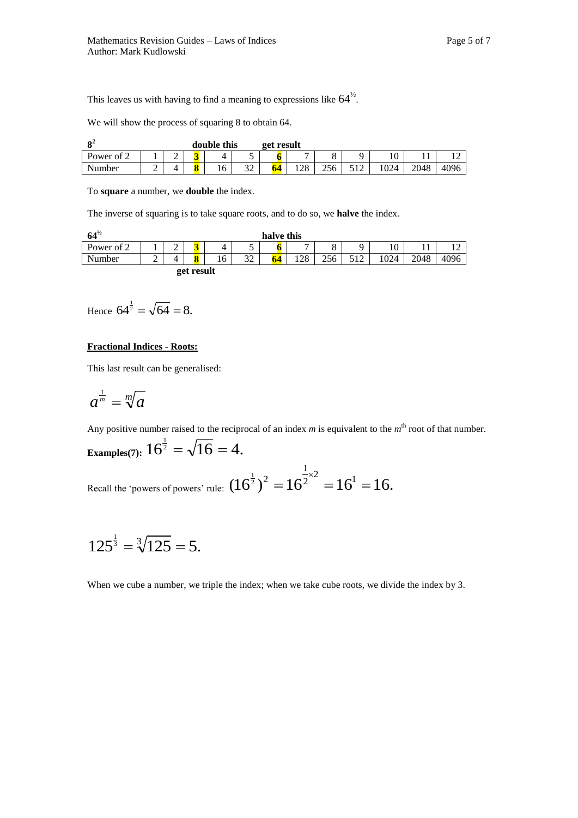This leaves us with having to find a meaning to expressions like  $64^{\frac{1}{2}}$ .

We will show the process of squaring 8 to obtain 64.

| Ωź                |   |   |   | double this |                      | get result |     |     |     |      |      |
|-------------------|---|---|---|-------------|----------------------|------------|-----|-----|-----|------|------|
| Power of $\gamma$ |   | ∽ |   |             | ັ                    | v          | -   |     |     |      |      |
| Number            | ∸ |   | 8 | 16          | $\mathcal{L}$<br>ے د | - 4        | 128 | 256 | 024 | 2048 | 4096 |

To **square** a number, we **double** the index.

The inverse of squaring is to take square roots, and to do so, we **halve** the index.

| $64^{1/2}$ |        |             |            |    |           | halve this |              |     |     |      |      |      |
|------------|--------|-------------|------------|----|-----------|------------|--------------|-----|-----|------|------|------|
| Power of 2 |        | $\sim$<br>∸ | 3          | 4  | ~         | O          | $\mathbf{r}$ | O   | Q   |      |      |      |
| Number     | ⌒<br>∸ | 4           | ð          | 16 | າາ<br>ے د | 64         | 128          | 256 | 517 | 1024 | 2048 | 4096 |
|            |        |             | get result |    |           |            |              |     |     |      |      |      |

Hence  $64^{\frac{1}{2}} = \sqrt{64} = 8$ .

#### **Fractional Indices - Roots:**

This last result can be generalised:

$$
a^{\frac{1}{m}}=\sqrt[m]{a}
$$

Any positive number raised to the reciprocal of an index  $m$  is equivalent to the  $m<sup>th</sup>$  root of that number. **Examples**(7):  $16^{\frac{1}{2}} = \sqrt{16} = 4$ .

Recall the 'powers of powers' rule:  $(16^{\frac{1}{2}})^2 = 16^{\frac{1}{2} \times 2} = 16^1 = 16$ . 1  $(\frac{1}{2})^2 = 16^{\frac{1}{2} \times 2} = 16^1 =$ 

$$
125^{\frac{1}{3}} = \sqrt[3]{125} = 5.
$$

When we cube a number, we triple the index; when we take cube roots, we divide the index by 3.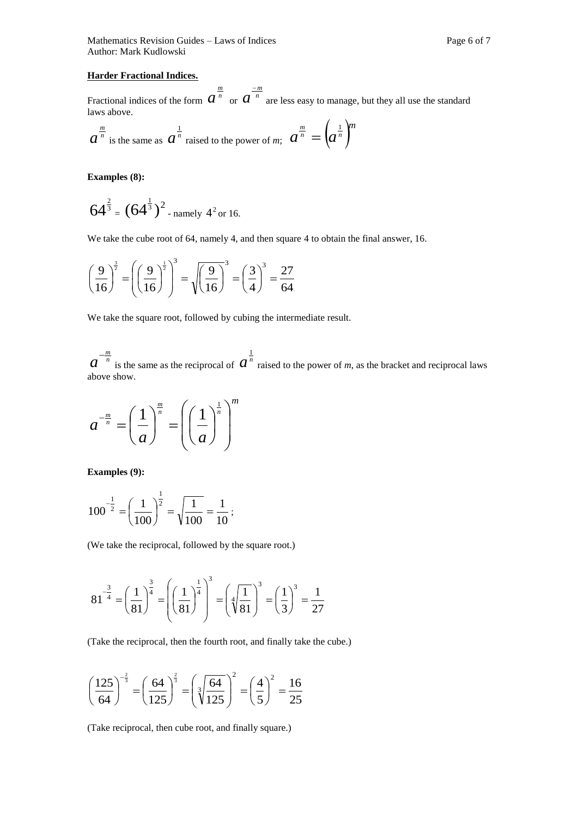Mathematics Revision Guides – Laws of Indices Page 6 of 7 Author: Mark Kudlowski

#### **Harder Fractional Indices.**

Fractional indices of the form  $a^{\frac{m}{n}}$  or  $a^{\frac{-m}{n}}$ are less easy to manage, but they all use the standard laws above.

$$
a^{\frac{m}{n}}
$$
 is the same as  $a^{\frac{1}{n}}$  raised to the power of *m*;  $a^{\frac{m}{n}} = (a^{\frac{1}{n}})^m$ 

**Examples (8):**

$$
64^{\frac{2}{3}} = (64^{\frac{1}{3}})^2
$$
 - namely 4<sup>2</sup> or 16.

We take the cube root of 64, namely 4, and then square 4 to obtain the final answer, 16.

$$
\left(\frac{9}{16}\right)^{\frac{3}{2}} = \left(\left(\frac{9}{16}\right)^{\frac{1}{2}}\right)^{3} = \sqrt{\left(\frac{9}{16}\right)^{3}} = \left(\frac{3}{4}\right)^{3} = \frac{27}{64}
$$

We take the square root, followed by cubing the intermediate result.

 $a^{-\frac{m}{n}}$ is the same as the reciprocal of  $a^{\frac{1}{n}}$ raised to the power of *m*, as the bracket and reciprocal laws above show.

$$
a^{-\frac{m}{n}} = \left(\frac{1}{a}\right)^{\frac{m}{n}} = \left(\left(\frac{1}{a}\right)^{\frac{1}{n}}\right)^{m}
$$

**Examples (9):** 

$$
100^{-\frac{1}{2}} = \left(\frac{1}{100}\right)^{\frac{1}{2}} = \sqrt{\frac{1}{100}} = \frac{1}{10};
$$

(We take the reciprocal, followed by the square root.)

$$
81^{-\frac{3}{4}} = \left(\frac{1}{81}\right)^{\frac{3}{4}} = \left(\left(\frac{1}{81}\right)^{\frac{1}{4}}\right)^{3} = \left(\sqrt[4]{\frac{1}{81}}\right)^{3} = \left(\frac{1}{3}\right)^{3} = \frac{1}{27}
$$

(Take the reciprocal, then the fourth root, and finally take the cube.)

$$
\left(\frac{125}{64}\right)^{-\frac{2}{3}} = \left(\frac{64}{125}\right)^{\frac{2}{3}} = \left(\sqrt[3]{\frac{64}{125}}\right)^2 = \left(\frac{4}{5}\right)^2 = \frac{16}{25}
$$

(Take reciprocal, then cube root, and finally square.)